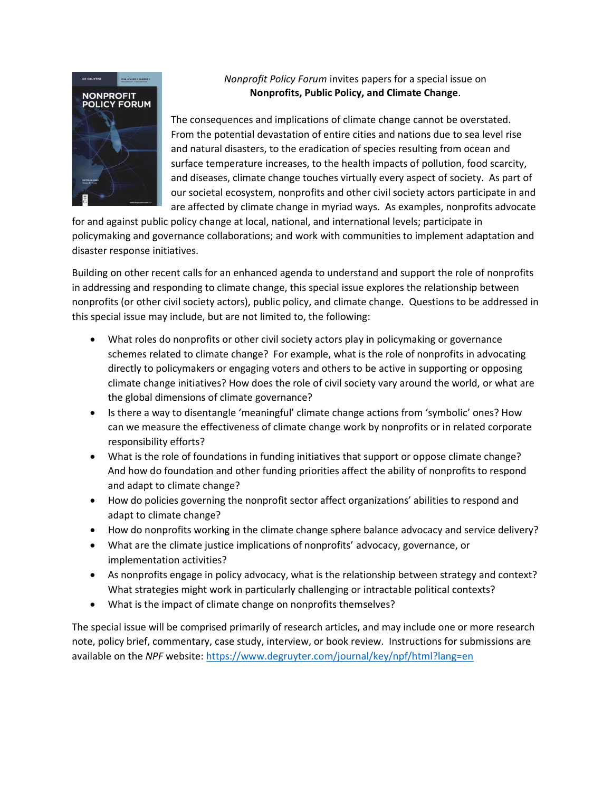

## *Nonprofit Policy Forum* invites papers for a special issue on **Nonprofits, Public Policy, and Climate Change**.

The consequences and implications of climate change cannot be overstated. From the potential devastation of entire cities and nations due to sea level rise and natural disasters, to the eradication of species resulting from ocean and surface temperature increases, to the health impacts of pollution, food scarcity, and diseases, climate change touches virtually every aspect of society. As part of our societal ecosystem, nonprofits and other civil society actors participate in and are affected by climate change in myriad ways. As examples, nonprofits advocate

for and against public policy change at local, national, and international levels; participate in policymaking and governance collaborations; and work with communities to implement adaptation and disaster response initiatives.

Building on other recent calls for an enhanced agenda to understand and support the role of nonprofits in addressing and responding to climate change, this special issue explores the relationship between nonprofits (or other civil society actors), public policy, and climate change. Questions to be addressed in this special issue may include, but are not limited to, the following:

- What roles do nonprofits or other civil society actors play in policymaking or governance schemes related to climate change? For example, what is the role of nonprofits in advocating directly to policymakers or engaging voters and others to be active in supporting or opposing climate change initiatives? How does the role of civil society vary around the world, or what are the global dimensions of climate governance?
- Is there a way to disentangle 'meaningful' climate change actions from 'symbolic' ones? How can we measure the effectiveness of climate change work by nonprofits or in related corporate responsibility efforts?
- What is the role of foundations in funding initiatives that support or oppose climate change? And how do foundation and other funding priorities affect the ability of nonprofits to respond and adapt to climate change?
- How do policies governing the nonprofit sector affect organizations' abilities to respond and adapt to climate change?
- How do nonprofits working in the climate change sphere balance advocacy and service delivery?
- What are the climate justice implications of nonprofits' advocacy, governance, or implementation activities?
- As nonprofits engage in policy advocacy, what is the relationship between strategy and context? What strategies might work in particularly challenging or intractable political contexts?
- What is the impact of climate change on nonprofits themselves?

The special issue will be comprised primarily of research articles, and may include one or more research note, policy brief, commentary, case study, interview, or book review. Instructions for submissions are available on the *NPF* website:<https://www.degruyter.com/journal/key/npf/html?lang=en>